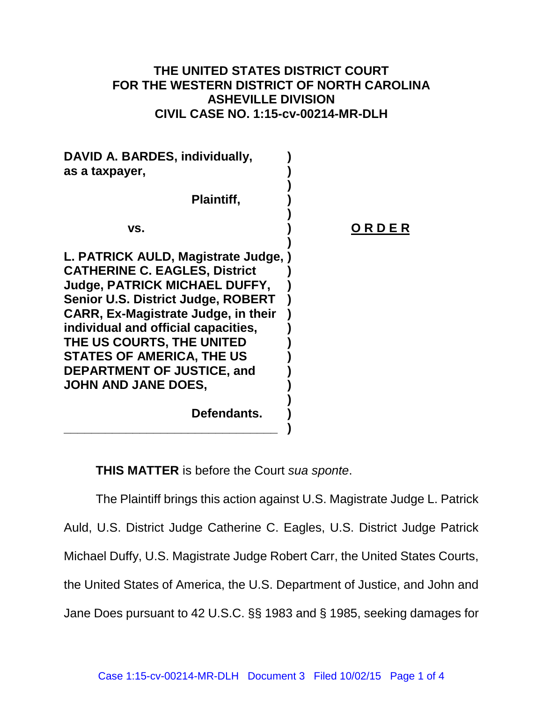## **THE UNITED STATES DISTRICT COURT FOR THE WESTERN DISTRICT OF NORTH CAROLINA ASHEVILLE DIVISION CIVIL CASE NO. 1:15-cv-00214-MR-DLH**

| DAVID A. BARDES, individually,<br>as a taxpayer,                                                                                                                                                                                                                                                                                                                                    |       |
|-------------------------------------------------------------------------------------------------------------------------------------------------------------------------------------------------------------------------------------------------------------------------------------------------------------------------------------------------------------------------------------|-------|
| Plaintiff,                                                                                                                                                                                                                                                                                                                                                                          |       |
| VS.                                                                                                                                                                                                                                                                                                                                                                                 | ORDER |
| L. PATRICK AULD, Magistrate Judge, )<br><b>CATHERINE C. EAGLES, District</b><br><b>Judge, PATRICK MICHAEL DUFFY,</b><br><b>Senior U.S. District Judge, ROBERT</b><br><b>CARR, Ex-Magistrate Judge, in their</b><br>individual and official capacities,<br>THE US COURTS, THE UNITED<br><b>STATES OF AMERICA, THE US</b><br><b>DEPARTMENT OF JUSTICE, and</b><br>JOHN AND JANE DOES, |       |
| Defendants.                                                                                                                                                                                                                                                                                                                                                                         |       |
|                                                                                                                                                                                                                                                                                                                                                                                     |       |

**THIS MATTER** is before the Court *sua sponte*.

The Plaintiff brings this action against U.S. Magistrate Judge L. Patrick Auld, U.S. District Judge Catherine C. Eagles, U.S. District Judge Patrick Michael Duffy, U.S. Magistrate Judge Robert Carr, the United States Courts, the United States of America, the U.S. Department of Justice, and John and Jane Does pursuant to 42 U.S.C. §§ 1983 and § 1985, seeking damages for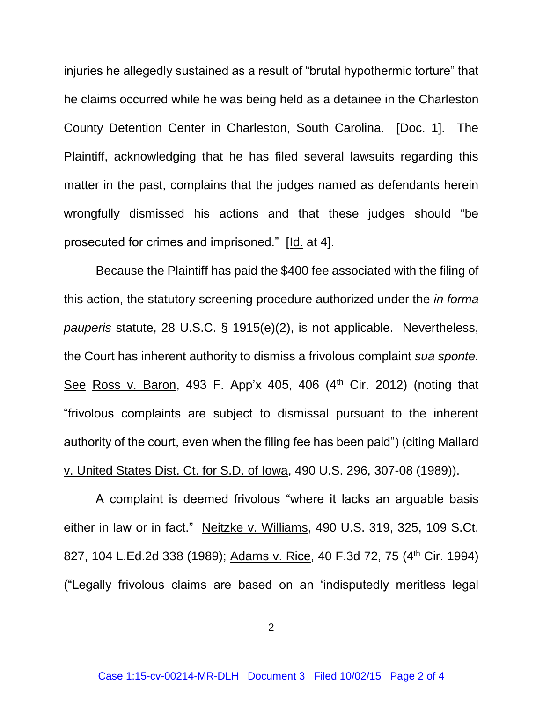injuries he allegedly sustained as a result of "brutal hypothermic torture" that he claims occurred while he was being held as a detainee in the Charleston County Detention Center in Charleston, South Carolina. [Doc. 1]. The Plaintiff, acknowledging that he has filed several lawsuits regarding this matter in the past, complains that the judges named as defendants herein wrongfully dismissed his actions and that these judges should "be prosecuted for crimes and imprisoned." [Id. at 4].

Because the Plaintiff has paid the \$400 fee associated with the filing of this action, the statutory screening procedure authorized under the *in forma pauperis* statute, 28 U.S.C. § 1915(e)(2), is not applicable. Nevertheless, the Court has inherent authority to dismiss a frivolous complaint *sua sponte.*  See Ross v. Baron, 493 F. App'x 405, 406  $(4<sup>th</sup>$  Cir. 2012) (noting that "frivolous complaints are subject to dismissal pursuant to the inherent authority of the court, even when the filing fee has been paid") (citing Mallard v. United States Dist. Ct. for S.D. of Iowa, 490 U.S. 296, 307-08 (1989)).

A complaint is deemed frivolous "where it lacks an arguable basis either in law or in fact." Neitzke v. Williams, 490 U.S. 319, 325, 109 S.Ct. 827, 104 L.Ed.2d 338 (1989); Adams v. Rice, 40 F.3d 72, 75 (4<sup>th</sup> Cir. 1994) ("Legally frivolous claims are based on an 'indisputedly meritless legal

2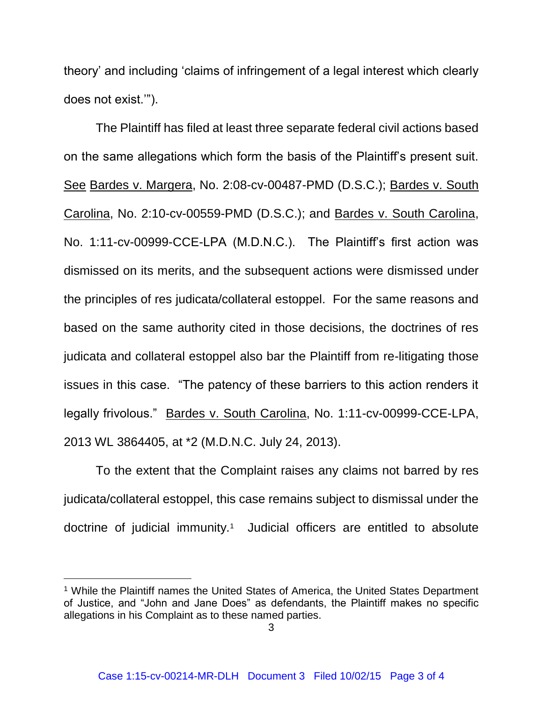theory' and including 'claims of infringement of a legal interest which clearly does not exist.'").

The Plaintiff has filed at least three separate federal civil actions based on the same allegations which form the basis of the Plaintiff's present suit. See Bardes v. Margera, No. 2:08-cv-00487-PMD (D.S.C.); Bardes v. South Carolina, No. 2:10-cv-00559-PMD (D.S.C.); and Bardes v. South Carolina, No. 1:11-cv-00999-CCE-LPA (M.D.N.C.). The Plaintiff's first action was dismissed on its merits, and the subsequent actions were dismissed under the principles of res judicata/collateral estoppel. For the same reasons and based on the same authority cited in those decisions, the doctrines of res judicata and collateral estoppel also bar the Plaintiff from re-litigating those issues in this case. "The patency of these barriers to this action renders it legally frivolous." Bardes v. South Carolina, No. 1:11-cv-00999-CCE-LPA, 2013 WL 3864405, at \*2 (M.D.N.C. July 24, 2013).

To the extent that the Complaint raises any claims not barred by res judicata/collateral estoppel, this case remains subject to dismissal under the doctrine of judicial immunity.<sup>1</sup> Judicial officers are entitled to absolute

l

<sup>&</sup>lt;sup>1</sup> While the Plaintiff names the United States of America, the United States Department of Justice, and "John and Jane Does" as defendants, the Plaintiff makes no specific allegations in his Complaint as to these named parties.